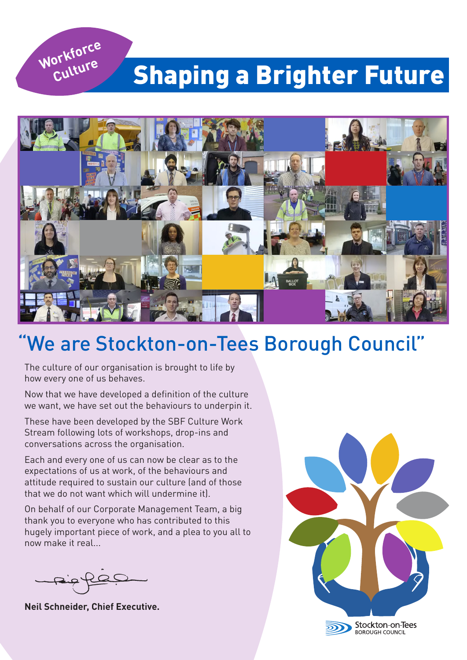

## **Shaping a Brighter Future**



## We are Stockton-on-Tees Borough Council"

The culture of our organisation is brought to life by how every one of us behaves.

Now that we have developed a definition of the culture we want, we have set out the behaviours to underpin it.

These have been developed by the SBF Culture Work Stream following lots of workshops, drop-ins and conversations across the organisation.

Each and every one of us can now be clear as to the expectations of us at work, of the behaviours and attitude required to sustain our culture (and of those that we do not want which will undermine it).

On behalf of our Corporate Management Team, a big thank you to everyone who has contributed to this hugely important piece of work, and a plea to you all to now make it real...

**Neil Schneider, Chief Executive.**

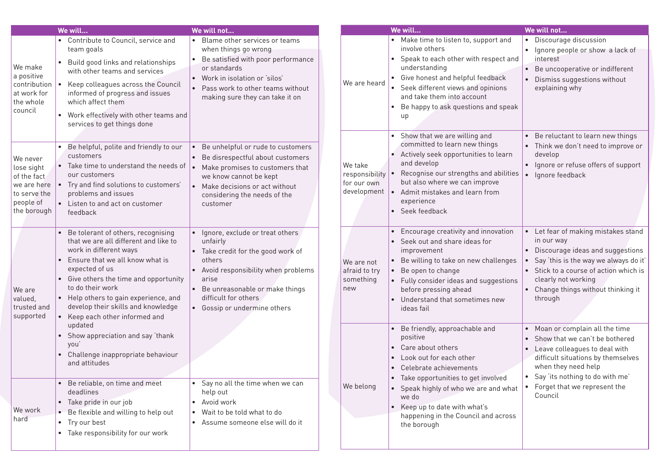|                                                                                                  | We will                                                                                                                                                                                                                                                                                                                               | We will not                                                                                                                                                                                                                              |                                                         | We will                                                                                                                                                                                                                                                                                                      | We will not                                                                                                                                                                                                                                     |
|--------------------------------------------------------------------------------------------------|---------------------------------------------------------------------------------------------------------------------------------------------------------------------------------------------------------------------------------------------------------------------------------------------------------------------------------------|------------------------------------------------------------------------------------------------------------------------------------------------------------------------------------------------------------------------------------------|---------------------------------------------------------|--------------------------------------------------------------------------------------------------------------------------------------------------------------------------------------------------------------------------------------------------------------------------------------------------------------|-------------------------------------------------------------------------------------------------------------------------------------------------------------------------------------------------------------------------------------------------|
| We make<br>a positive<br>contribution<br>at work for<br>the whole<br>council                     | • Contribute to Council, service and<br>team goals<br>Build good links and relationships<br>with other teams and services<br>Keep colleagues across the Council<br>informed of progress and issues<br>which affect them<br>• Work effectively with other teams and<br>services to get things done                                     | • Blame other services or teams<br>when things go wrong<br>• Be satisfied with poor performance<br>or standards<br>• Work in isolation or 'silos'<br>• Pass work to other teams without<br>making sure they can take it on               | We are heard                                            | • Make time to listen to, support and<br>involve others<br>• Speak to each other with respect and<br>understanding<br>• Give honest and helpful feedback<br>• Seek different views and opinions<br>and take them into account<br>Be happy to ask questions and speak<br>up<br>• Show that we are willing and | • Discourage discussion<br>• Ignore people or show a lack of<br>interest<br>• Be uncooperative or indifferent<br>Dismiss suggestions without<br>explaining why<br>• Be reluctant to learn new things                                            |
| We never<br>lose sight<br>of the fact<br>we are here<br>to serve the<br>people of<br>the borough | Be helpful, polite and friendly to our<br>customers<br>• Take time to understand the needs of<br>our customers<br>Try and find solutions to customers'<br>problems and issues<br>Listen to and act on customer<br>feedback                                                                                                            | Be unhelpful or rude to customers<br>• Be disrespectful about customers<br>Make promises to customers that<br>we know cannot be kept<br>Make decisions or act without<br>considering the needs of the<br>customer                        | We take<br>responsibility<br>for our own<br>development | committed to learn new things<br>Actively seek opportunities to learn<br>and develop<br>Recognise our strengths and abilities<br>but also where we can improve<br>Admit mistakes and learn from<br>experience<br>• Seek feedback                                                                             | • Think we don't need to improve or<br>develop<br>• Ignore or refuse offers of support<br>Ignore feedback                                                                                                                                       |
| We are<br>valued,<br>trusted and<br>supported                                                    | Be tolerant of others, recognising<br>that we are all different and like to<br>work in different ways<br>Ensure that we all know what is<br>expected of us<br>Give others the time and opportunity<br>to do their work<br>• Help others to gain experience, and<br>develop their skills and knowledge<br>Keep each other informed and | • Ignore, exclude or treat others<br>unfairly<br>Take credit for the good work of<br>others<br>• Avoid responsibility when problems<br>arise<br>• Be unreasonable or make things<br>difficult for others<br>• Gossip or undermine others | We are not<br>afraid to try<br>something<br>new         | Encourage creativity and innovation<br>• Seek out and share ideas for<br>improvement<br>Be willing to take on new challenges<br>• Be open to change<br>Fully consider ideas and suggestions<br>before pressing ahead<br>Understand that sometimes new<br>ideas fail                                          | • Let fear of making mistakes stand<br>in our way<br>Discourage ideas and suggestions<br>Say 'this is the way we always do it'<br>Stick to a course of action which is<br>clearly not working<br>• Change things without thinking it<br>through |
|                                                                                                  | updated<br>Show appreciation and say 'thank<br>you<br>Challenge inappropriate behaviour<br>and attitudes<br>Be reliable, on time and meet                                                                                                                                                                                             | • Say no all the time when we can                                                                                                                                                                                                        | We belong                                               | Be friendly, approachable and<br>positive<br>• Care about others<br>Look out for each other<br>$\bullet$<br>• Celebrate achievements<br>• Take opportunities to get involved<br>• Speak highly of who we are and what                                                                                        | • Moan or complain all the time<br>Show that we can't be bothered<br>Leave colleagues to deal with<br>difficult situations by themselves<br>when they need help<br>• Say 'its nothing to do with me'<br>• Forget that we represent the          |
| We work<br>hard                                                                                  | deadlines<br>Take pride in our job<br>Be flexible and willing to help out<br>• Try our best<br>Take responsibility for our work                                                                                                                                                                                                       | help out<br>Avoid work<br>• Wait to be told what to do<br>• Assume someone else will do it                                                                                                                                               |                                                         | we do<br>Keep up to date with what's<br>happening in the Council and across<br>the borough                                                                                                                                                                                                                   | Council                                                                                                                                                                                                                                         |